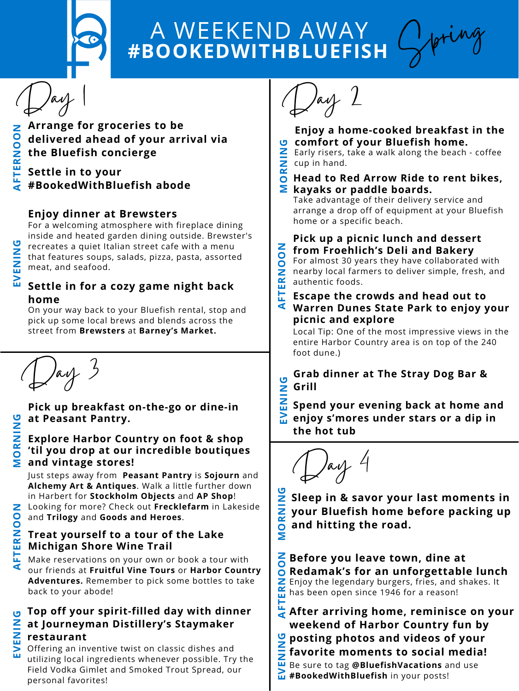

## **#BOOKEDWITHBLUEFISH** A WEEKEND AWAY

Day 1

- **RNO the Bluefish concierge ONArrange for groceries to be delivered ahead of your arrival via**
- **TESettle in to your**
- **A #BookedWithBluefish abode F**

For a welcoming atmosphere with fireplace dining inside and heated garden dining outside. Brewster's recreates a quiet Italian street cafe with a menu that features soups, salads, pizza, pasta, assorted meat, and seafood. **Z** t<br>**Z** .

## **Enjoy dinner at [Brewsters](https://brewstersitaliancafe.com/)**

### **Settle in for a cozy game night back home V**

On your way back to your Bluefish rental, stop and pick up some local brews and blends across the street from **Brewsters** at **[Barney's](http://www.barneysmarket.com/) Market.**



**E**

**E**

**G**

Day 2

- **Enjoy a home-cooked breakfast in the comfort of your Bluefish home. G**
- **Z** Early risers,<br>**Z** cup in hand. Early risers, take a walk along the beach - coffee
- **Head to Red [Arrow](http://www.redarrowride.com/) Ride to rent bikes, O R**

## **Mkayaks or paddle boards.**

Take advantage of their delivery service and arrange a drop off of equipment at your Bluefish home or a specific beach.

#### **Pick up a picnic lunch and dessert from [Froehlich's](https://www.shopfroehlichs.com/) Deli and Bakery N**

For almost 30 years they have collaborated with nearby local farmers to deliver simple, fresh, and authentic foods. **ERNOO**

Local Tip: One of the most impressive views in the entire Harbor Country area is on top of the 240 foot dune.)

 $\int$ arf

#### **A FTEscape the crowds and head out to Warren Dunes State Park to enjoy your picnic and explore**

**Grab [dinner](http://thestraydog.com/) at The Stray Dog Bar & Grill**

**Spend your evening back at home and enjoy s'mores under stars or a dip in Ethe hot tub V ENIN**

**G**

Spring

**Pick up breakfast on-the-go or dine-in at [Peasant](https://www.thepeasantspantry.com/) Pantry.**

#### **Explore Harbor Country on foot & shop 'til you drop at our incredible boutiques Mand vintage stores! ORNIN**

**G**

Just steps away from **[Peasant](https://www.thepeasantspantry.com/) Pantry** is **[Sojourn](https://sojournastore.com/)** and **Alchemy Art & [Antiques](https://www.instagram.com/alchemy_art_and_antiques/)**. Walk a little further down in Harbert for **[Stockholm](https://www.stockholmobjects.com/) Objects** and **AP [Shop](https://www.instagram.com/apshoplakeside/)**!

Looking for more? Check out **[Frecklefarm](https://www.facebook.com/frecklefarmthirty6/)** in Lakeside and **[Trilogy](https://www.trilogyantiques.com/)** and **Goods and [Heroes](https://goodsandheroes.square.site/)**.

## **Michigan Shore Wine Trail Treat yourself to a tour of the Lake**

 Make reservations on your own or book a tour with our friends at **[Fruitful](https://fruitfulvinetours.com/) Vine Tours** or **Harbor Country [Adventures.](https://www.harborcountryadventures.com/)** Remember to pick some bottles to take back to your abode!

#### **Top off your spirit-filled day with dinner at [Journeyman](https://www.journeymandistillery.com/) Distillery's [Staymaker](https://www.journeymandistillery.com/staymaker) restaurant E**Z<br>Zr **G**

**E**

 utilizing local ingredients whenever possible. Try the **V** Offering an inventive twist on classic dishes and Field Vodka Gimlet and Smoked Trout Spread, our personal favorites!



**Sleep in & savor your last moments in your Bluefish home before packing up and hitting the road. M ORNIN G**

**ERN** Enjoy the legendary burgers, fries, and shakes. It **O [Redamak's](https://www.redamaks.com/) for an unforgettable lunch O<sup>N</sup>Before you leave town, dine at** has been open since 1946 for a reason!

**A FT After arriving home, reminisce on your weekend of Harbor Country fun by posting photos and videos of your favorite moments to social media!** Be sure to tag **@BluefishVacations** and use **<sup>E</sup>#BookedWithBluefish** in your posts! **<sup>V</sup> E**Z<br>Zfi **G**